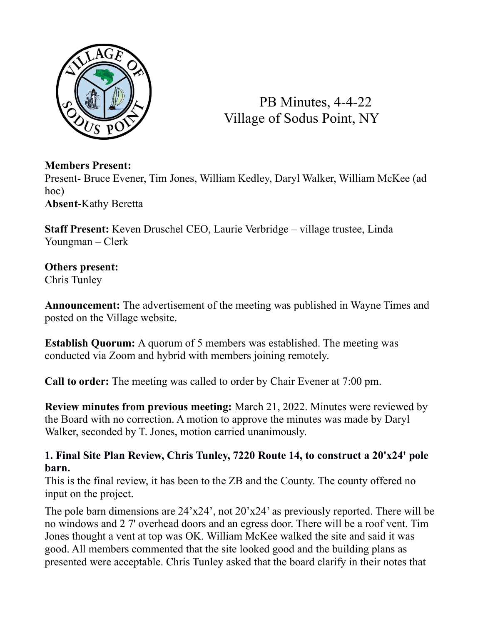

PB Minutes, 4-4-22 Village of Sodus Point, NY

### **Members Present:**

Present- Bruce Evener, Tim Jones, William Kedley, Daryl Walker, William McKee (ad hoc) **Absent**-Kathy Beretta

**Staff Present:** Keven Druschel CEO, Laurie Verbridge – village trustee, Linda Youngman – Clerk

# **Others present:**

Chris Tunley

**Announcement:** The advertisement of the meeting was published in Wayne Times and posted on the Village website.

**Establish Quorum:** A quorum of 5 members was established. The meeting was conducted via Zoom and hybrid with members joining remotely.

**Call to order:** The meeting was called to order by Chair Evener at 7:00 pm.

**Review minutes from previous meeting:** March 21, 2022. Minutes were reviewed by the Board with no correction. A motion to approve the minutes was made by Daryl Walker, seconded by T. Jones, motion carried unanimously.

### **1. Final Site Plan Review, Chris Tunley, 7220 Route 14, to construct a 20'x24' pole barn.**

This is the final review, it has been to the ZB and the County. The county offered no input on the project.

The pole barn dimensions are 24'x24', not 20'x24' as previously reported. There will be no windows and 2 7' overhead doors and an egress door. There will be a roof vent. Tim Jones thought a vent at top was OK. William McKee walked the site and said it was good. All members commented that the site looked good and the building plans as presented were acceptable. Chris Tunley asked that the board clarify in their notes that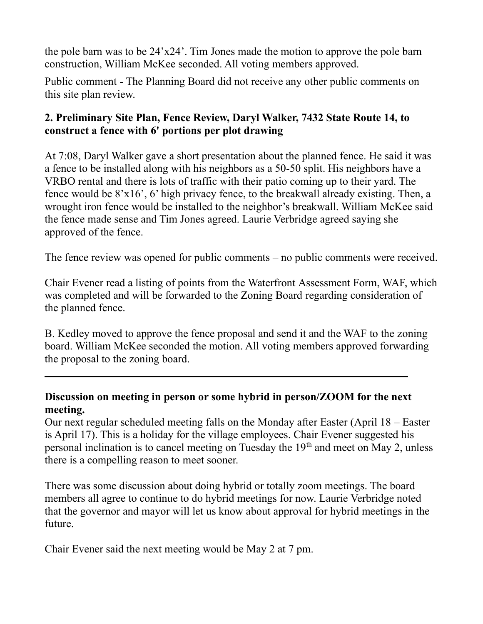the pole barn was to be 24'x24'. Tim Jones made the motion to approve the pole barn construction, William McKee seconded. All voting members approved.

Public comment - The Planning Board did not receive any other public comments on this site plan review.

# **2. Preliminary Site Plan, Fence Review, Daryl Walker, 7432 State Route 14, to construct a fence with 6' portions per plot drawing**

At 7:08, Daryl Walker gave a short presentation about the planned fence. He said it was a fence to be installed along with his neighbors as a 50-50 split. His neighbors have a VRBO rental and there is lots of traffic with their patio coming up to their yard. The fence would be 8'x16', 6' high privacy fence, to the breakwall already existing. Then, a wrought iron fence would be installed to the neighbor's breakwall. William McKee said the fence made sense and Tim Jones agreed. Laurie Verbridge agreed saying she approved of the fence.

The fence review was opened for public comments – no public comments were received.

Chair Evener read a listing of points from the Waterfront Assessment Form, WAF, which was completed and will be forwarded to the Zoning Board regarding consideration of the planned fence.

B. Kedley moved to approve the fence proposal and send it and the WAF to the zoning board. William McKee seconded the motion. All voting members approved forwarding the proposal to the zoning board.

### **Discussion on meeting in person or some hybrid in person/ZOOM for the next meeting.**

Our next regular scheduled meeting falls on the Monday after Easter (April 18 – Easter is April 17). This is a holiday for the village employees. Chair Evener suggested his personal inclination is to cancel meeting on Tuesday the 19<sup>th</sup> and meet on May 2, unless there is a compelling reason to meet sooner.

There was some discussion about doing hybrid or totally zoom meetings. The board members all agree to continue to do hybrid meetings for now. Laurie Verbridge noted that the governor and mayor will let us know about approval for hybrid meetings in the future.

Chair Evener said the next meeting would be May 2 at 7 pm.